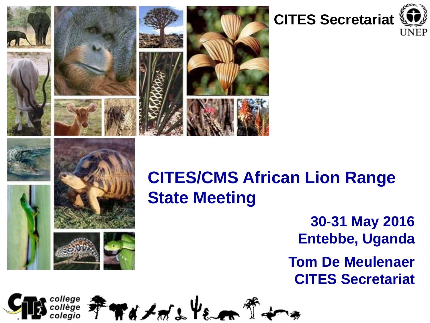





## **CITES/CMS African Lion Range State Meeting**

**30-31 May 2016 Entebbe, Uganda**

**Tom De Meulenaer CITES Secretariat**

**₹₩₫**≠₩\$€€₩₹ oleaio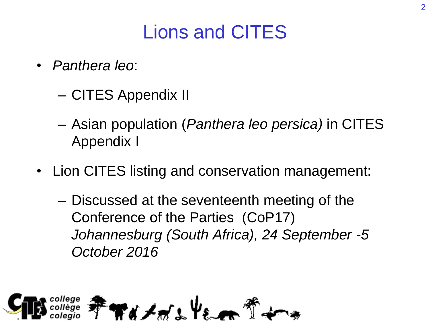# Lions and CITES

- *Panthera leo*:
	- CITES Appendix II
	- Asian population (*Panthera leo persica)* in CITES Appendix I
- Lion CITES listing and conservation management:
	- Discussed at the seventeenth meeting of the Conference of the Parties (CoP17) *Johannesburg (South Africa), 24 September -5 October 2016*

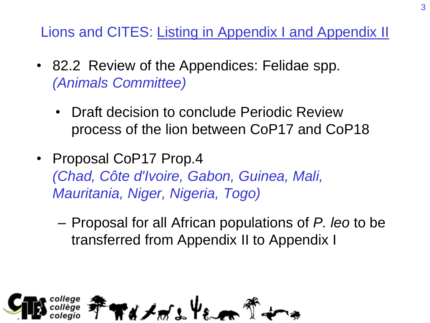Lions and CITES: Listing in Appendix I and Appendix II

- 82.2 Review of the Appendices: Felidae spp. *(Animals Committee)*
	- Draft decision to conclude Periodic Review process of the lion between CoP17 and CoP18
- Proposal CoP17 Prop.4 *(Chad, Côte d'Ivoire, Gabon, Guinea, Mali, Mauritania, Niger, Nigeria, Togo)*
	- Proposal for all African populations of *P. leo* to be transferred from Appendix II to Appendix I

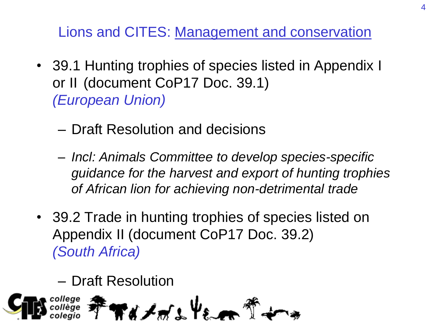Lions and CITES: Management and conservation

- 39.1 Hunting trophies of species listed in Appendix I or II (document CoP17 Doc. 39.1) *(European Union)*
	- Draft Resolution and decisions
	- *Incl: Animals Committee to develop species-specific guidance for the harvest and export of hunting trophies of African lion for achieving non-detrimental trade*
- 39.2 Trade in hunting trophies of species listed on Appendix II (document CoP17 Doc. 39.2) *(South Africa)*
	- Draft Resolution

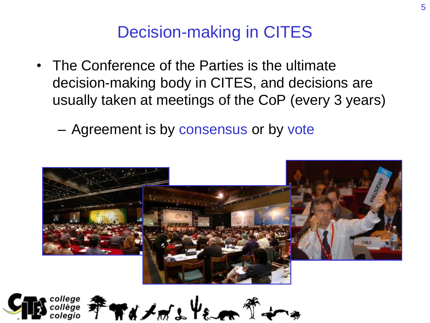#### Decision-making in CITES

- The Conference of the Parties is the ultimate decision-making body in CITES, and decisions are usually taken at meetings of the CoP (every 3 years)
	- Agreement is by consensus or by vote